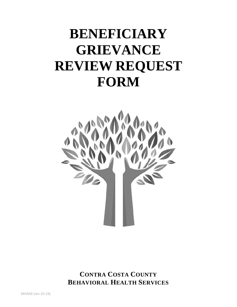# **BENEFICIARY GRIEVANCE REVIEW REQUEST FORM**



**CONTRA COSTA COUNTY BEHAVIORAL HEALTH SERVICES**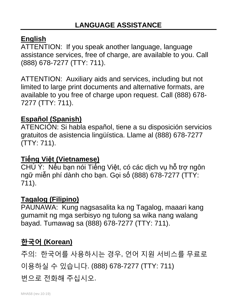## **English**

ATTENTION: If you speak another language, language assistance services, free of charge, are available to you. Call (888) 678-7277 (TTY: 711).

ATTENTION: Auxiliary aids and services, including but not limited to large print documents and alternative formats, are available to you free of charge upon request. Call (888) 678- 7277 (TTY: 711).

# **Español (Spanish)**

ATENCIÓN: Si habla español, tiene a su disposición servicios gratuitos de asistencia lingüística. Llame al (888) 678-7277 (TTY: 711).

# **Tiếng Việt (Vietnamese)**

CHÚ Ý: Nếu bạn nói Tiếng Việt, có các dịch vụ hỗ trợ ngôn ngữ miễn phí dành cho bạn. Gọi số (888) 678-7277 (TTY: 711).

# **Tagalog (Filipino)**

PAUNAWA: Kung nagsasalita ka ng Tagalog, maaari kang gumamit ng mga serbisyo ng tulong sa wika nang walang bayad. Tumawag sa (888) 678-7277 (TTY: 711).

# **한국어 (Korean)**

주의: 한국어를 사용하시는 경우, 언어 지원 서비스를 무료로 이용하실 수 있습니다. (888) 678-7277 (TTY: 711)

번으로 전화해 주십시오.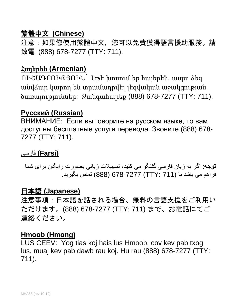# 繁體中文 **(Chinese)**

注意:如果您使用繁體中文,您可以免費獲得語言援助服務。請 致電 (888) 678-7277 (TTY: 711).

#### Հայերեն **(Armenian)**

ՈՒՇԱԴՐՈՒԹՅՈՒՆ՝ Եթե խոսում եք հայերեն, ապա ձեզ անվճար կարող են տրամադրվել լեզվական աջակցության ծառայություններ: Զանգահարեք (888) 678-7277 (TTY: 711).

#### **Русский (Russian)**

ВНИМАНИЕ: Если вы говорите на русском языке, то вам доступны бесплатные услуги перевода. Звоните (888) 678- 7277 (TTY: 711).

#### **(Farsi (**فارسی

**توجھ**: اگر بھ زبان فارسی گفتگو می کنید، تسھیلات زبانی بصورت رایگان برای شما فراھم می باشد با (711 :TTY (678-7277) 888 (تماس بگیرید.

## 日本語 **(Japanese)**

注意事項:日本語を話される場合、無料の言語支援をご利用い ただけます。(888) 678-7277 (TTY: 711) まで、お電話にてご 連絡ください。

#### **Hmoob (Hmong)**

LUS CEEV: Yog tias koj hais lus Hmoob, cov kev pab txog lus, muaj kev pab dawb rau koj. Hu rau (888) 678-7277 (TTY: 711).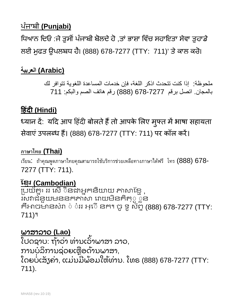# ਪੰ ਜਾਬੀ **(Punjabi)**

ਧਿਆਨ ਦਿਓ :ਜੇ ਤੁਸੀਂ ਪੰਜਾਬੀ ਬੋਲਦੇ ਹੋ ,ਤਾਂ ਭਾਸ਼ਾ ਵਿੱਚ ਸਹਾਇਤਾ ਸੇਵਾ ਤੁਹਾਡੇ ਲਈ ਮੁਫਤ ਉਪਲਬਧ ਹੈ। (888) 678-7277 (TTY: 711)' ਤੇ ਕਾਲ ਕਰੋ।

# **(Arabic (العربیة**

ملحوظة: إذا كنت تتحدث اذكر اللغة، فإن خدمات المساعدة اللغویة تتوافر لك بالمجان. اتصل برقم 678-7277 (888) رقم ھاتف الصم والبكم: 711

# **�हंद� (Hindi)**

ध्यान दे: यदि आप हिंदी बोलते हैं तो आपके लिए मुफ्त में भाषा सहायता सेवाएं उपलब्ध हैं। (888) 678-7277 (TTY: 711) पर कॉल करें।

# **ภาษาไทย (Thai)**

เรียน: ถ้าคุณพูดภาษาไทยคุณสามารถใช้บริการช่วยเหลือทางภาษาได้ฟรี โทร (888) 678- 7277 (TTY: 711).

# <u>ខ្មែរ (Cambodian)</u>

្របយ័គ្នះ ររ សើ ៑នងាអ្នកនិយាយ ភាសាខ្មែ ុ រសវាជំនួយមននកភាសា រោយមីនគិតុួួួន គឺអាចម៉ានសំរា ់ បំររ អ្ើ នក។ ចូ ទូ ស័ព្ទ (888) 678-7277 (TTY: 711)។

# ພາສາລາວ **(Lao)**

ໄປດຊາບ: ຖ້າວ່າ ທ່ານເວົາພາສາ ລາວ, ່ ່ ້ ການບໍລິການຊ່ວຍເຫຼືອດ້ານພາສາ, ໂດຍບໍ່ເສັ້ງຄ່າ, ແມ່ນມີພ້ອມໃຫ້ທ່ານ. ໂທຣ (888) 678-7277 (TTY: ັ ່ ່ ີ ່ 711).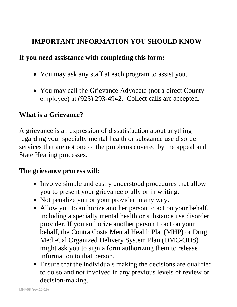## **IMPORTANT INFORMATION YOU SHOULD KNOW**

#### **If you need assistance with completing this form:**

- You may ask any staff at each program to assist you.
- You may call the Grievance Advocate (not a direct County employee) at (925) 293-4942. Collect calls are accepted.

#### **What is a Grievance?**

A grievance is an expression of dissatisfaction about anything regarding your specialty mental health or substance use disorder services that are not one of the problems covered by the appeal and State Hearing processes.

#### **The grievance process will:**

- Involve simple and easily understood procedures that allow you to present your grievance orally or in writing.
- Not penalize you or your provider in any way.
- Allow you to authorize another person to act on your behalf, including a specialty mental health or substance use disorder provider. If you authorize another person to act on your behalf, the Contra Costa Mental Health Plan(MHP) or Drug Medi-Cal Organized Delivery System Plan (DMC-ODS) might ask you to sign a form authorizing them to release information to that person.
- Ensure that the individuals making the decisions are qualified to do so and not involved in any previous levels of review or decision-making.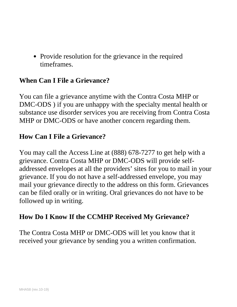• Provide resolution for the grievance in the required timeframes.

#### **When Can I File a Grievance?**

You can file a grievance anytime with the Contra Costa MHP or DMC-ODS ) if you are unhappy with the specialty mental health or substance use disorder services you are receiving from Contra Costa MHP or DMC-ODS or have another concern regarding them.

#### **How Can I File a Grievance?**

You may call the Access Line at (888) 678-7277 to get help with a grievance. Contra Costa MHP or DMC-ODS will provide selfaddressed envelopes at all the providers' sites for you to mail in your grievance. If you do not have a self-addressed envelope, you may mail your grievance directly to the address on this form. Grievances can be filed orally or in writing. Oral grievances do not have to be followed up in writing.

#### **How Do I Know If the CCMHP Received My Grievance?**

The Contra Costa MHP or DMC-ODS will let you know that it received your grievance by sending you a written confirmation.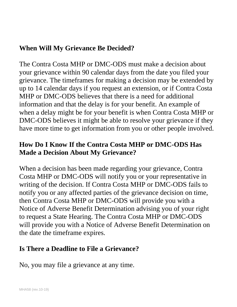#### **When Will My Grievance Be Decided?**

The Contra Costa MHP or DMC-ODS must make a decision about your grievance within 90 calendar days from the date you filed your grievance. The timeframes for making a decision may be extended by up to 14 calendar days if you request an extension, or if Contra Costa MHP or DMC-ODS believes that there is a need for additional information and that the delay is for your benefit. An example of when a delay might be for your benefit is when Contra Costa MHP or DMC-ODS believes it might be able to resolve your grievance if they have more time to get information from you or other people involved.

#### **How Do I Know If the Contra Costa MHP or DMC-ODS Has Made a Decision About My Grievance?**

When a decision has been made regarding your grievance, Contra Costa MHP or DMC-ODS will notify you or your representative in writing of the decision. If Contra Costa MHP or DMC-ODS fails to notify you or any affected parties of the grievance decision on time, then Contra Costa MHP or DMC-ODS will provide you with a Notice of Adverse Benefit Determination advising you of your right to request a State Hearing. The Contra Costa MHP or DMC-ODS will provide you with a Notice of Adverse Benefit Determination on the date the timeframe expires.

#### **Is There a Deadline to File a Grievance?**

No, you may file a grievance at any time.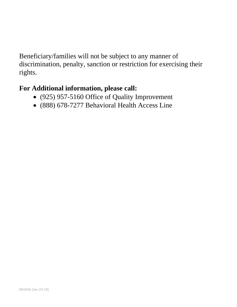Beneficiary/families will not be subject to any manner of discrimination, penalty, sanction or restriction for exercising their rights.

#### **For Additional information, please call:**

- (925) 957-5160 Office of Quality Improvement
- (888) 678-7277 Behavioral Health Access Line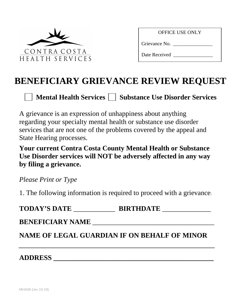

Grievance No. \_\_\_\_\_\_\_\_\_\_\_\_\_\_\_\_\_

Date Received

# **BENEFICIARY GRIEVANCE REVIEW REQUEST**

**Mental Health Services** | | Substance Use Disorder Services

A grievance is an expression of unhappiness about anything regarding your specialty mental health or substance use disorder services that are not one of the problems covered by the appeal and State Hearing processes.

**Your current Contra Costa County Mental Health or Substance Use Disorder services will NOT be adversely affected in any way by filing a grievance.**

*Please Print or Type*

1. The following information is required to proceed with a grievance:

**TODAY'S DATE** \_\_\_\_\_\_\_\_\_\_\_\_ **BIRTHDATE** \_\_\_\_\_\_\_\_\_\_\_\_\_\_

**BENEFICIARY NAME** 

**NAME OF LEGAL GUARDIAN IF ON BEHALF OF MINOR**

**ADDRESS \_\_\_\_\_\_\_\_\_\_\_\_\_\_\_\_\_\_\_\_\_\_\_\_\_\_\_\_\_\_\_\_\_\_\_\_\_\_\_\_\_\_\_\_\_\_**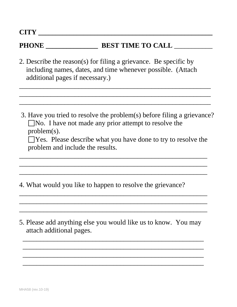# **CITY \_\_\_\_\_\_\_\_\_\_\_\_\_\_\_\_\_\_\_\_\_\_\_\_\_\_\_\_\_\_\_\_\_\_\_\_\_\_\_\_\_\_\_\_\_\_\_\_\_\_**

#### **PHONE \_\_\_\_\_\_\_\_\_\_\_\_\_\_\_ BEST TIME TO CALL** \_\_\_\_\_\_\_\_\_\_\_

2. Describe the reason(s) for filing a grievance. Be specific by including names, dates, and time whenever possible. (Attach additional pages if necessary.)

\_\_\_\_\_\_\_\_\_\_\_\_\_\_\_\_\_\_\_\_\_\_\_\_\_\_\_\_\_\_\_\_\_\_\_\_\_\_\_\_\_\_\_\_\_\_\_\_\_\_\_\_\_\_\_

\_\_\_\_\_\_\_\_\_\_\_\_\_\_\_\_\_\_\_\_\_\_\_\_\_\_\_\_\_\_\_\_\_\_\_\_\_\_\_\_\_\_\_\_\_\_\_\_\_\_\_\_\_\_\_

\_\_\_\_\_\_\_\_\_\_\_\_\_\_\_\_\_\_\_\_\_\_\_\_\_\_\_\_\_\_\_\_\_\_\_\_\_\_\_\_\_\_\_\_\_\_\_\_\_\_\_\_\_\_\_

3. Have you tried to resolve the problem(s) before filing a grievance?  $\Box$ No. I have not made any prior attempt to resolve the problem(s).

 $\Box$  Yes. Please describe what you have done to try to resolve the problem and include the results.

\_\_\_\_\_\_\_\_\_\_\_\_\_\_\_\_\_\_\_\_\_\_\_\_\_\_\_\_\_\_\_\_\_\_\_\_\_\_\_\_\_\_\_\_\_\_\_\_\_\_\_\_\_\_

\_\_\_\_\_\_\_\_\_\_\_\_\_\_\_\_\_\_\_\_\_\_\_\_\_\_\_\_\_\_\_\_\_\_\_\_\_\_\_\_\_\_\_\_\_\_\_\_\_\_\_\_\_\_

\_\_\_\_\_\_\_\_\_\_\_\_\_\_\_\_\_\_\_\_\_\_\_\_\_\_\_\_\_\_\_\_\_\_\_\_\_\_\_\_\_\_\_\_\_\_\_\_\_\_\_\_\_\_

\_\_\_\_\_\_\_\_\_\_\_\_\_\_\_\_\_\_\_\_\_\_\_\_\_\_\_\_\_\_\_\_\_\_\_\_\_\_\_\_\_\_\_\_\_\_\_\_\_\_\_\_\_\_

\_\_\_\_\_\_\_\_\_\_\_\_\_\_\_\_\_\_\_\_\_\_\_\_\_\_\_\_\_\_\_\_\_\_\_\_\_\_\_\_\_\_\_\_\_\_\_\_\_\_\_\_\_\_

\_\_\_\_\_\_\_\_\_\_\_\_\_\_\_\_\_\_\_\_\_\_\_\_\_\_\_\_\_\_\_\_\_\_\_\_\_\_\_\_\_\_\_\_\_\_\_\_\_\_\_\_\_\_

4. What would you like to happen to resolve the grievance?

5. Please add anything else you would like us to know. You may attach additional pages.

\_\_\_\_\_\_\_\_\_\_\_\_\_\_\_\_\_\_\_\_\_\_\_\_\_\_\_\_\_\_\_\_\_\_\_\_\_\_\_\_\_\_\_\_\_\_\_\_\_\_\_\_

\_\_\_\_\_\_\_\_\_\_\_\_\_\_\_\_\_\_\_\_\_\_\_\_\_\_\_\_\_\_\_\_\_\_\_\_\_\_\_\_\_\_\_\_\_\_\_\_\_\_\_\_

\_\_\_\_\_\_\_\_\_\_\_\_\_\_\_\_\_\_\_\_\_\_\_\_\_\_\_\_\_\_\_\_\_\_\_\_\_\_\_\_\_\_\_\_\_\_\_\_\_\_\_\_

\_\_\_\_\_\_\_\_\_\_\_\_\_\_\_\_\_\_\_\_\_\_\_\_\_\_\_\_\_\_\_\_\_\_\_\_\_\_\_\_\_\_\_\_\_\_\_\_\_\_\_\_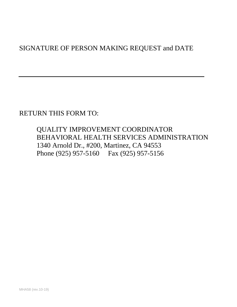#### SIGNATURE OF PERSON MAKING REQUEST and DATE

RETURN THIS FORM TO:

QUALITY IMPROVEMENT COORDINATOR BEHAVIORAL HEALTH SERVICES ADMINISTRATION 1340 Arnold Dr., #200, Martinez, CA 94553 Phone (925) 957-5160 Fax (925) 957-5156